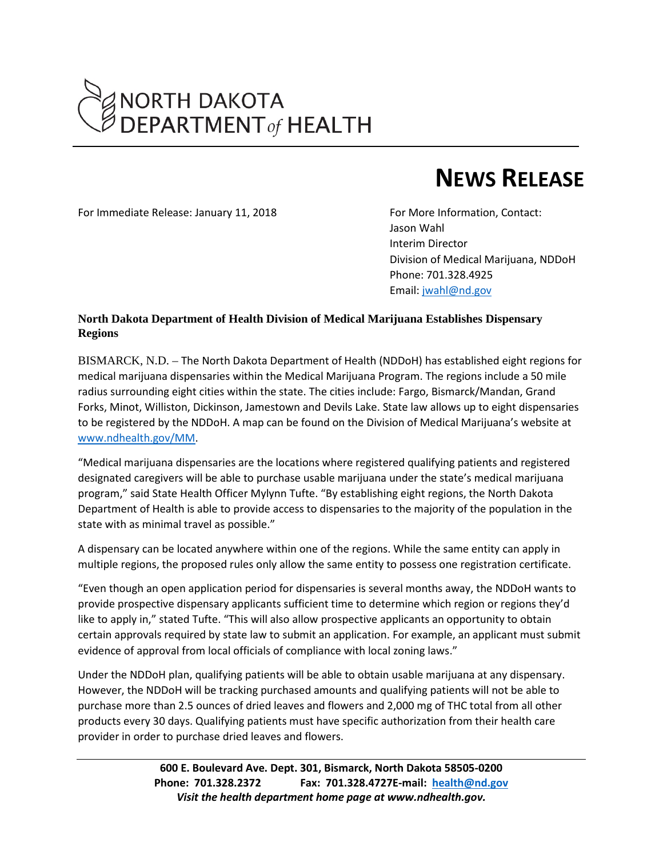

## **NEWS RELEASE**

For Immediate Release: January 11, 2018 For More Information, Contact:

Jason Wahl Interim Director Division of Medical Marijuana, NDDoH Phone: 701.328.4925 Email: [jwahl@nd.gov](mailto:jwahl@nd.gov)

## **North Dakota Department of Health Division of Medical Marijuana Establishes Dispensary Regions**

BISMARCK, N.D. – The North Dakota Department of Health (NDDoH) has established eight regions for medical marijuana dispensaries within the Medical Marijuana Program. The regions include a 50 mile radius surrounding eight cities within the state. The cities include: Fargo, Bismarck/Mandan, Grand Forks, Minot, Williston, Dickinson, Jamestown and Devils Lake. State law allows up to eight dispensaries to be registered by the NDDoH. A map can be found on the Division of Medical Marijuana's website at [www.ndhealth.gov/MM.](http://www.ndhealth.gov/MM)

"Medical marijuana dispensaries are the locations where registered qualifying patients and registered designated caregivers will be able to purchase usable marijuana under the state's medical marijuana program," said State Health Officer Mylynn Tufte. "By establishing eight regions, the North Dakota Department of Health is able to provide access to dispensaries to the majority of the population in the state with as minimal travel as possible."

A dispensary can be located anywhere within one of the regions. While the same entity can apply in multiple regions, the proposed rules only allow the same entity to possess one registration certificate.

"Even though an open application period for dispensaries is several months away, the NDDoH wants to provide prospective dispensary applicants sufficient time to determine which region or regions they'd like to apply in," stated Tufte. "This will also allow prospective applicants an opportunity to obtain certain approvals required by state law to submit an application. For example, an applicant must submit evidence of approval from local officials of compliance with local zoning laws."

Under the NDDoH plan, qualifying patients will be able to obtain usable marijuana at any dispensary. However, the NDDoH will be tracking purchased amounts and qualifying patients will not be able to purchase more than 2.5 ounces of dried leaves and flowers and 2,000 mg of THC total from all other products every 30 days. Qualifying patients must have specific authorization from their health care provider in order to purchase dried leaves and flowers.

> **600 E. Boulevard Ave. Dept. 301, Bismarck, North Dakota 58505-0200 Phone: 701.328.2372 Fax: 701.328.4727E-mail: [health@nd.gov](mailto:health@nd.gov)** *Visit the health department home page at www.ndhealth.gov.*